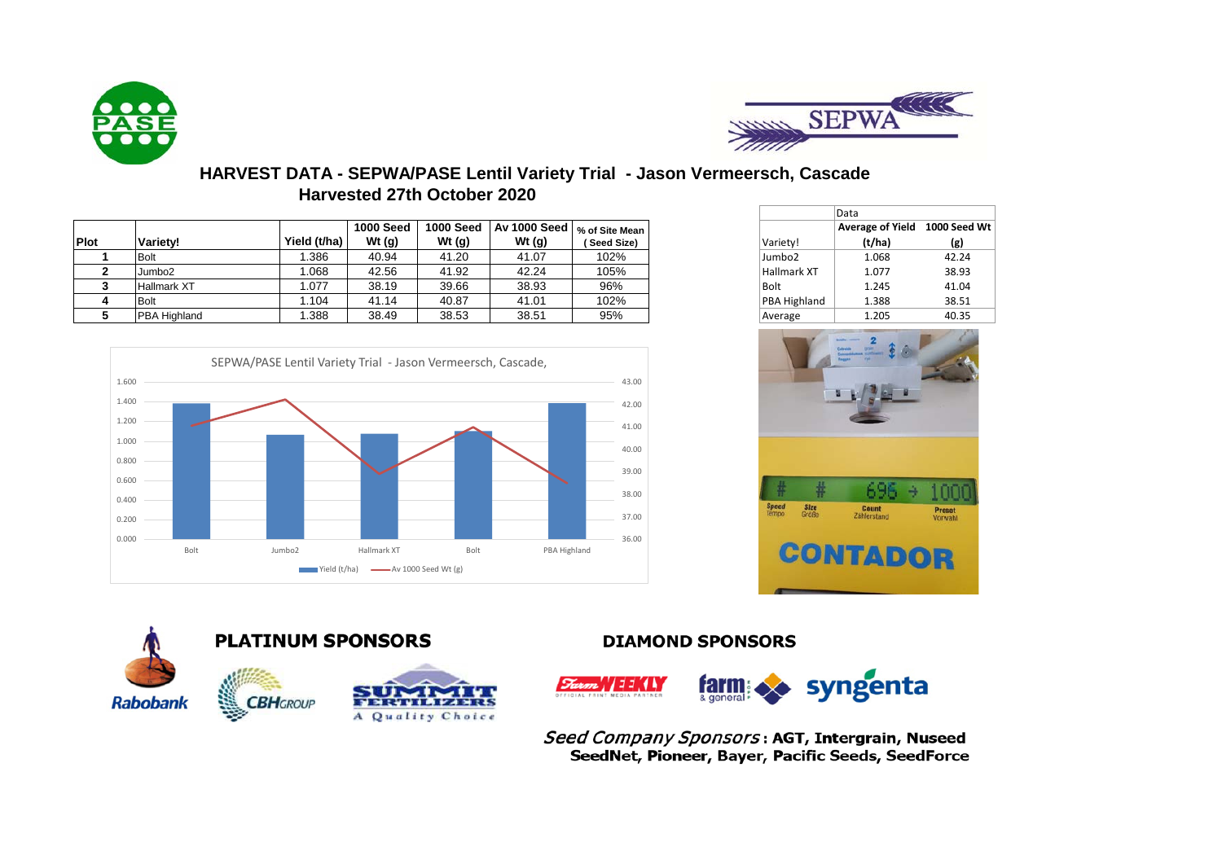



## **HARVEST DATA - SEPWA/PASE Lentil Variety Trial - Jason Vermeersch, Cascade Harvested 27th October 2020**

|             |                     |              |                  |                  |                                                                                        |             |                     | ----                    |          |
|-------------|---------------------|--------------|------------------|------------------|----------------------------------------------------------------------------------------|-------------|---------------------|-------------------------|----------|
|             |                     |              | <b>1000 Seed</b> | <b>1000 Seed</b> | . $\sqrt{\mathsf{A}}$ v 1000 Seed $\sqrt{\mathsf{}}_0$ of Site Mean $\sqrt{\mathsf{}}$ |             |                     | <b>Average of Yield</b> | 1000 See |
| <b>Plot</b> | Varietv!            | Yield (t/ha) | Wt $(q)$         | Wt (g)           | Wt $(g)$                                                                               | (Seed Size) | Variety!            | (t/ha)                  | (g)      |
|             | <b>Bolt</b>         | .386         | 40.94            | 41.20            | 41.07                                                                                  | 102%        | Jumbo <sub>2</sub>  | 1.068                   | 42.24    |
|             | Jumbo2              | .068         | 42.56            | 41.92            | 42.24                                                                                  | 105%        | Hallmark XT         | 1.077                   | 38.93    |
|             | Hallmark XT         | .077         | 38.19            | 39.66            | 38.93                                                                                  | 96%         | Bolt                | 1.245                   | 41.04    |
|             | <b>Bolt</b>         | .104         | 41.14            | 40.87            | 41.01                                                                                  | 102%        | <b>PBA Highland</b> | 1.388                   | 38.51    |
|             | <b>PBA Highland</b> | .388         | 38.49            | 38.53            | 38.51                                                                                  | 95%         | Average             | 1.205                   | 40.35    |



|                    | Data                          |       |
|--------------------|-------------------------------|-------|
|                    | Average of Yield 1000 Seed Wt |       |
| Variety!           | (t/ha)                        | (g)   |
| Jumbo <sub>2</sub> | 1.068                         | 42.24 |
| <b>Hallmark XT</b> | 1.077                         | 38.93 |
| <b>Bolt</b>        | 1.245                         | 41.04 |
| PBA Highland       | 1.388                         | 38.51 |
| Average            | 1.205                         | 40.35 |





## **DIAMOND SPONSORS**

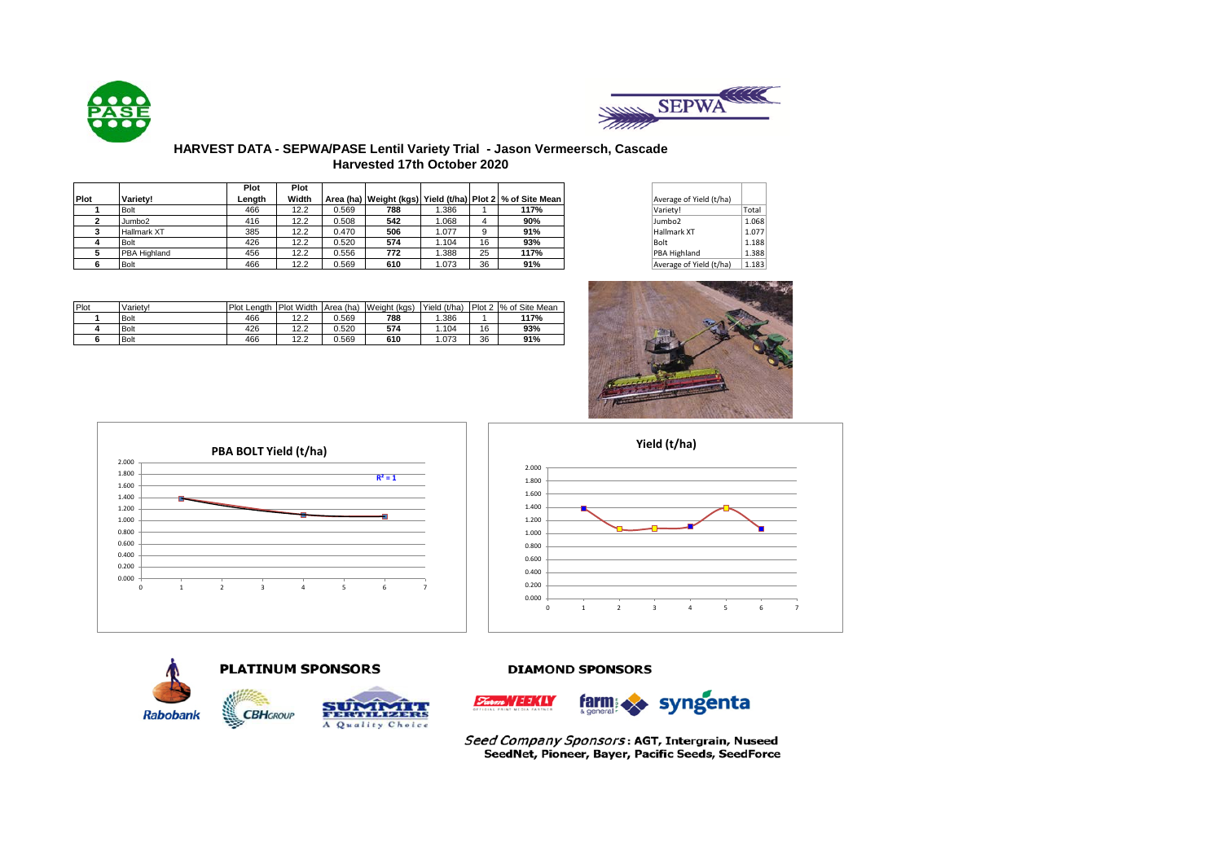



## **HARVEST DATA - SEPWA/PASE Lentil Variety Trial - Jason Vermeersch, Cascade Harvested 17th October 2020**

|      |                     | Plot   | Plot  |       |     |       |    |                                                                   |                         |       |
|------|---------------------|--------|-------|-------|-----|-------|----|-------------------------------------------------------------------|-------------------------|-------|
| Plot | Variety!            | Lenath | Width |       |     |       |    | Area (ha)   Weight (kgs)   Yield (t/ha)   Plot 2   % of Site Mean | Average of Yield (t/ha) |       |
|      | <b>Bolt</b>         | 466    | 12.2  | 0.569 | 788 | .386  |    | 117%                                                              | Variety!                | Total |
|      | Jumbo <sub>2</sub>  | 416    | 12.2  | 0.508 | 542 | .068  |    | 90%                                                               | Jumbo <sub>2</sub>      |       |
|      | <b>Hallmark XT</b>  | 385    | 12.2  | 0.470 | 506 | .077  | 9  | 91%                                                               | Hallmark XT             |       |
|      | <b>Bolt</b>         | 426    | 12.2  | 0.520 | 574 | .104  | 16 | 93%                                                               | Bolt                    |       |
|      | <b>PBA Highland</b> | 456    | 12.2  | 0.556 | 772 | .388  | 25 | 117%                                                              | <b>PBA Highland</b>     |       |
|      | <b>Bolt</b>         | 466    | 12.2  | 0.569 | 610 | 1.073 | 36 | 91%                                                               | Average of Yield (t/ha) |       |

| Average of Yield (t/ha) |       |
|-------------------------|-------|
| Variety!                | Total |
| Jumbo <sub>2</sub>      | 1.068 |
| <b>Hallmark XT</b>      | 1.077 |
| Bolt                    | 1.188 |
| PBA Highland            | 1.388 |
| Average of Yield (t/ha) | 1.183 |

| Plot | Varietv!    | Plot Lenath | Plot Width | Area (ha) | Weight (kgs) | Yield (t/ha) |    | Plot 2 % of Site Mean |
|------|-------------|-------------|------------|-----------|--------------|--------------|----|-----------------------|
|      | <b>Bolt</b> | 466         | 12.2       | 569.ر     | 788          | .386         |    | 117%                  |
|      | <b>Bolt</b> | 426         | 12.2       | 0.520     | 574          | .104         | 16 | 93%                   |
|      | <b>Bolt</b> | 466         | 12.2       | 0.569     | 610          | 1.073        | 36 | 91%                   |









### **DIAMOND SPONSORS**



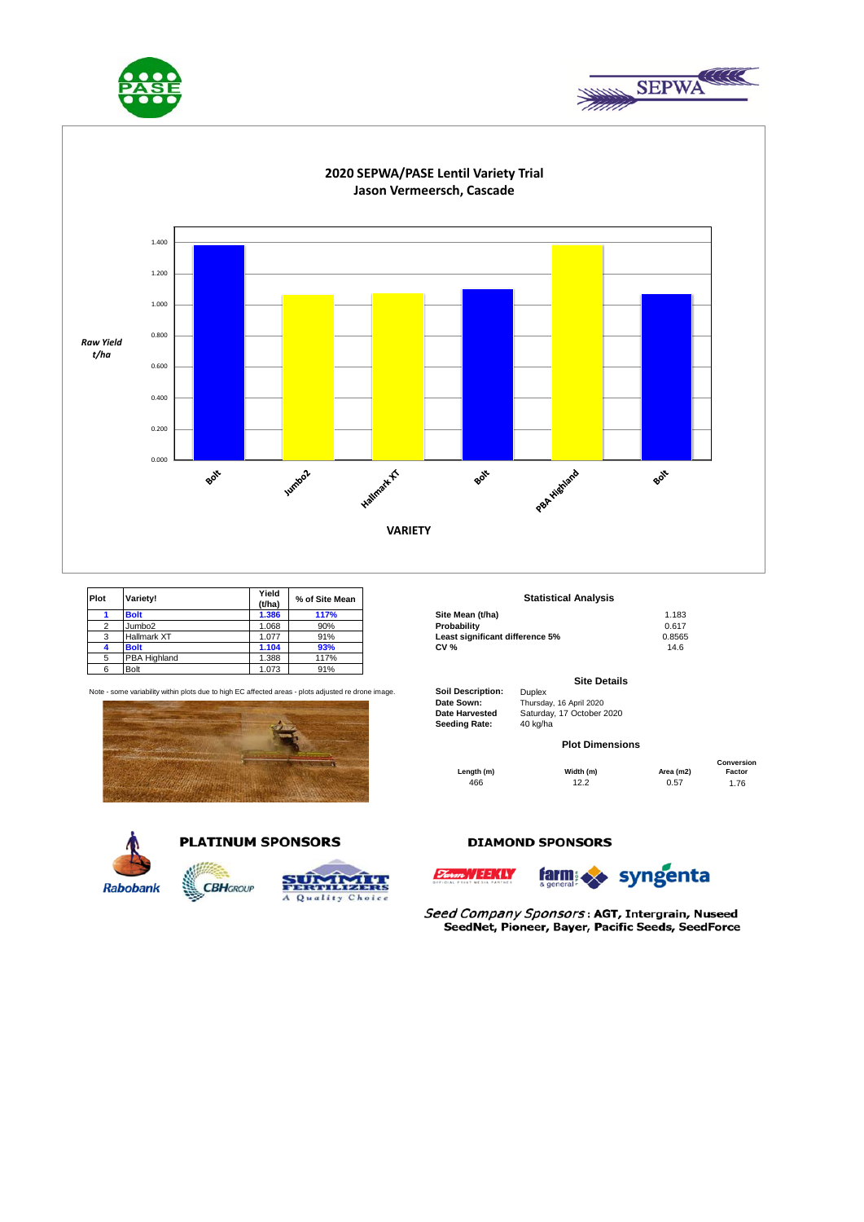





| <b>Plot</b> | Variety!           | Yield<br>(t/ha) | % of Site Mean | <b>Statistical Analysis</b>     |        |
|-------------|--------------------|-----------------|----------------|---------------------------------|--------|
|             | <b>Bolt</b>        | 1.386           | 117%           | Site Mean (t/ha)                | 1.183  |
|             | Jumbo <sub>2</sub> | 1.068           | 90%            | Probability                     | 0.617  |
|             | Hallmark XT        | 1.077           | 91%            | Least significant difference 5% | 0.8565 |
|             | <b>Bolt</b>        | 1.104           | 93%            | <b>CV %</b>                     | 14.6   |
|             | PBA Highland       | .388            | 117%           |                                 |        |
|             | Bolt               | 1.073           | 91%            |                                 |        |

Note - some variability within plots due to high EC affected areas - plots adjusted re drone image. **Soil Description:** Duplex



**CBHGROUP** 



## **PLATINUM SPONSORS**



# **Statistical Analysis**

|                                | .      |
|--------------------------------|--------|
| robabilitv                     | 0.617  |
| east significant difference 5% | 0.8565 |
| V %                            | 14.6   |
|                                |        |

#### **Site Details**

**Date Sown:** Thursday, 16 April 2020<br> **Date Harvested** Saturday, 17 October 2 **Seeding Rate:** 

Saturday, 17 October 2020<br>40 kg/ha

#### **Plot Dimensions**

|            |           | Conversion |        |  |  |  |
|------------|-----------|------------|--------|--|--|--|
| Length (m) | Width (m) | Area (m2)  | Factor |  |  |  |
| 466        | 12.2      | 0.57       | 1.76   |  |  |  |

#### **DIAMOND SPONSORS**